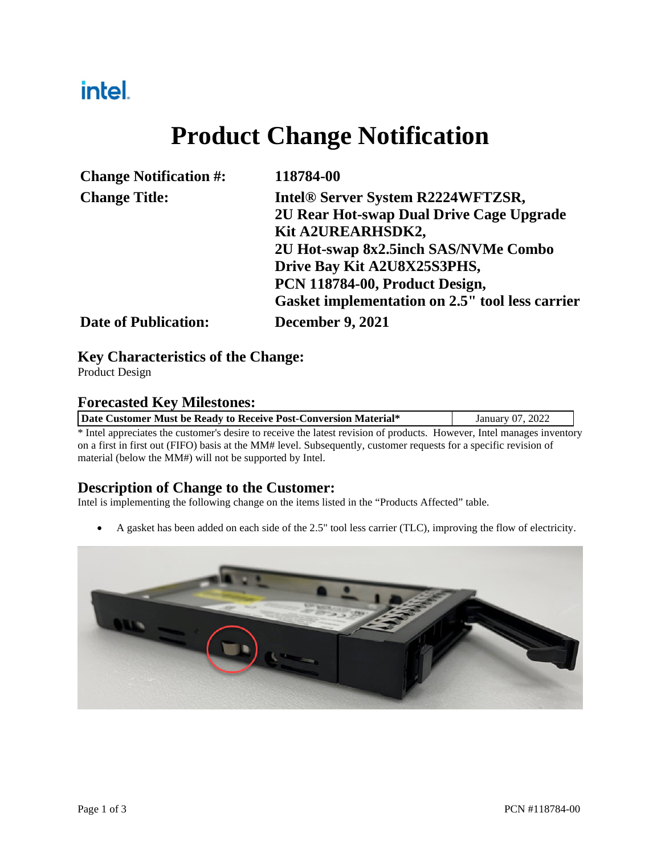## intel.

# **Product Change Notification**

| <b>Change Notification #:</b> | 118784-00                                       |  |  |
|-------------------------------|-------------------------------------------------|--|--|
| <b>Change Title:</b>          | Intel® Server System R2224WFTZSR,               |  |  |
|                               | 2U Rear Hot-swap Dual Drive Cage Upgrade        |  |  |
|                               | Kit A2UREARHSDK2,                               |  |  |
|                               | 2U Hot-swap 8x2.5inch SAS/NVMe Combo            |  |  |
|                               | Drive Bay Kit A2U8X25S3PHS,                     |  |  |
|                               | PCN 118784-00, Product Design,                  |  |  |
|                               | Gasket implementation on 2.5" tool less carrier |  |  |
| <b>Date of Publication:</b>   | <b>December 9, 2021</b>                         |  |  |

#### **Key Characteristics of the Change:**

Product Design

#### **Forecasted Key Milestones:**

| Date Customer Must be Ready to Receive Post-Conversion Material* |                                                                                                                        | January 07, 2022 |
|------------------------------------------------------------------|------------------------------------------------------------------------------------------------------------------------|------------------|
|                                                                  | * Intel appreciates the customer's desire to receive the latest revision of products. However, Intel manages inventory |                  |

Intel appreciates the customer's desire to receive the latest revision of products. However, Intel manages inventory on a first in first out (FIFO) basis at the MM# level. Subsequently, customer requests for a specific revision of material (below the MM#) will not be supported by Intel.

#### **Description of Change to the Customer:**

Intel is implementing the following change on the items listed in the "Products Affected" table.

A gasket has been added on each side of the 2.5" tool less carrier (TLC), improving the flow of electricity.

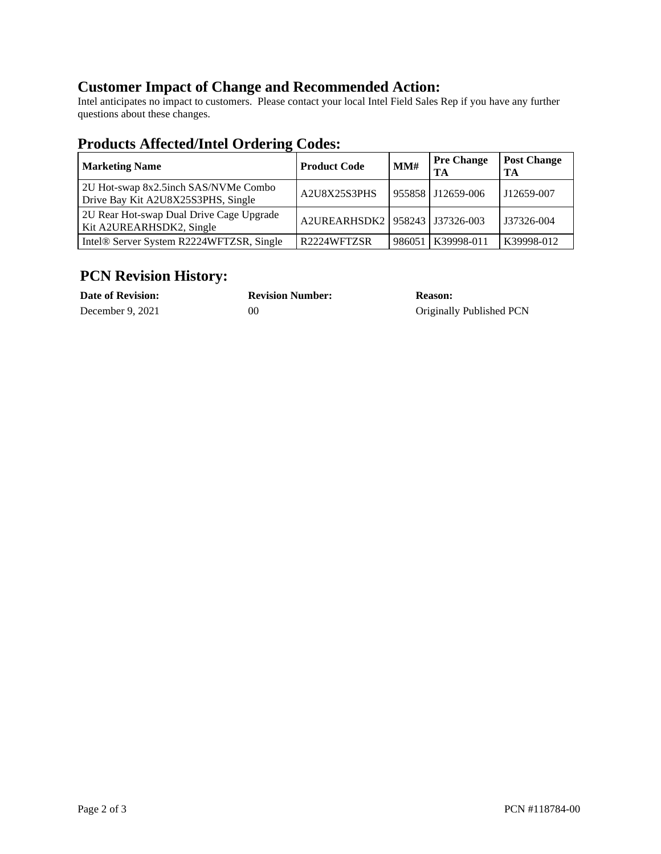### **Customer Impact of Change and Recommended Action:**

Intel anticipates no impact to customers. Please contact your local Intel Field Sales Rep if you have any further questions about these changes.

### **Products Affected/Intel Ordering Codes:**

| <b>Marketing Name</b>                                                      | <b>Product Code</b>                | MMH    | <b>Pre Change</b><br>TA | <b>Post Change</b><br>TA |
|----------------------------------------------------------------------------|------------------------------------|--------|-------------------------|--------------------------|
| 2U Hot-swap 8x2.5inch SAS/NVMe Combo<br>Drive Bay Kit A2U8X25S3PHS, Single | A2U8X25S3PHS                       |        | 955858 J12659-006       | J12659-007               |
| 2U Rear Hot-swap Dual Drive Cage Upgrade<br>Kit A2UREARHSDK2, Single       | A2UREARHSDK2   958243   J37326-003 |        |                         | J37326-004               |
| Intel® Server System R2224WFTZSR, Single                                   | R2224WFTZSR                        | 986051 | K39998-011              | K39998-012               |

### **PCN Revision History:**

| Date of Revision: |  |  |
|-------------------|--|--|
| December 9, 2021  |  |  |

**Date of Revision: Revision Number: Reason:**

00 Originally Published PCN